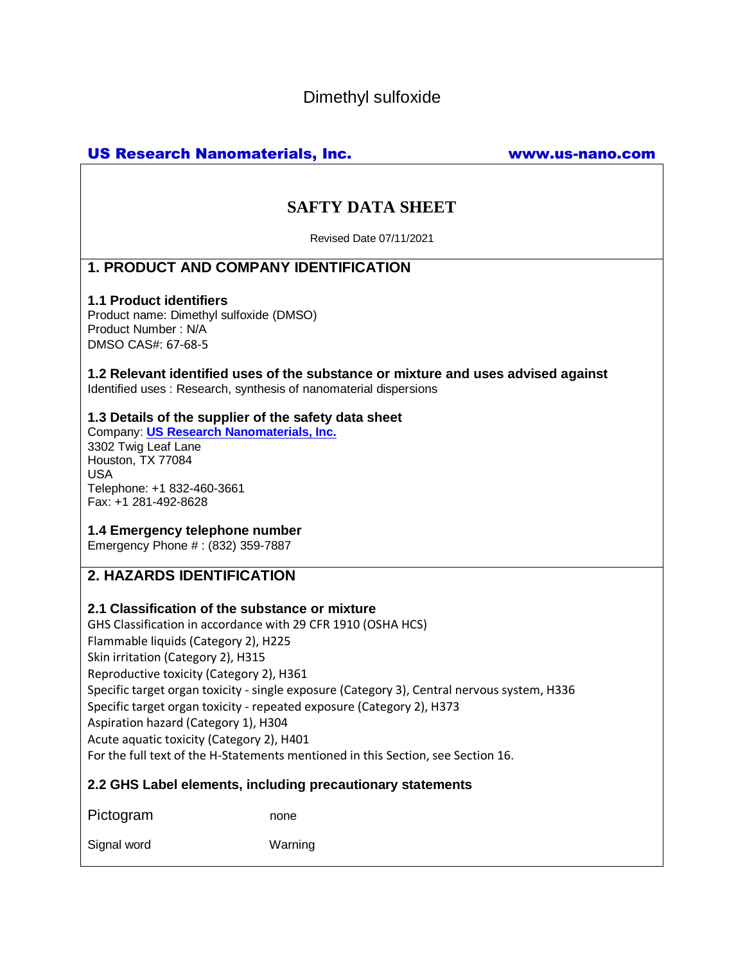Dimethyl sulfoxide

# US Research Nanomaterials, Inc. www.us-nano.com

# **SAFTY DATA SHEET**

Revised Date 07/11/2021

# **1. PRODUCT AND COMPANY IDENTIFICATION**

### **1.1 Product identifiers**

Product name: Dimethyl sulfoxide (DMSO) Product Number : N/A DMSO CAS#: 67-68-5

**1.2 Relevant identified uses of the substance or mixture and uses advised against** Identified uses : Research, synthesis of nanomaterial dispersions

## **1.3 Details of the supplier of the safety data sheet**

Company: **[US Research Nanomaterials, Inc.](http://www.us-nano.com/)** 3302 Twig Leaf Lane Houston, TX 77084 USA Telephone: +1 832-460-3661 Fax: +1 281-492-8628

## **1.4 Emergency telephone number**

Emergency Phone # : (832) 359-7887

# **2. HAZARDS IDENTIFICATION**

### **2.1 Classification of the substance or mixture**

GHS Classification in accordance with 29 CFR 1910 (OSHA HCS) Flammable liquids (Category 2), H225 Skin irritation (Category 2), H315 Reproductive toxicity (Category 2), H361 Specific target organ toxicity - single exposure (Category 3), Central nervous system, H336 Specific target organ toxicity - repeated exposure (Category 2), H373 Aspiration hazard (Category 1), H304 Acute aquatic toxicity (Category 2), H401 For the full text of the H-Statements mentioned in this Section, see Section 16.

## **2.2 GHS Label elements, including precautionary statements**

Pictogram none

Signal word Warning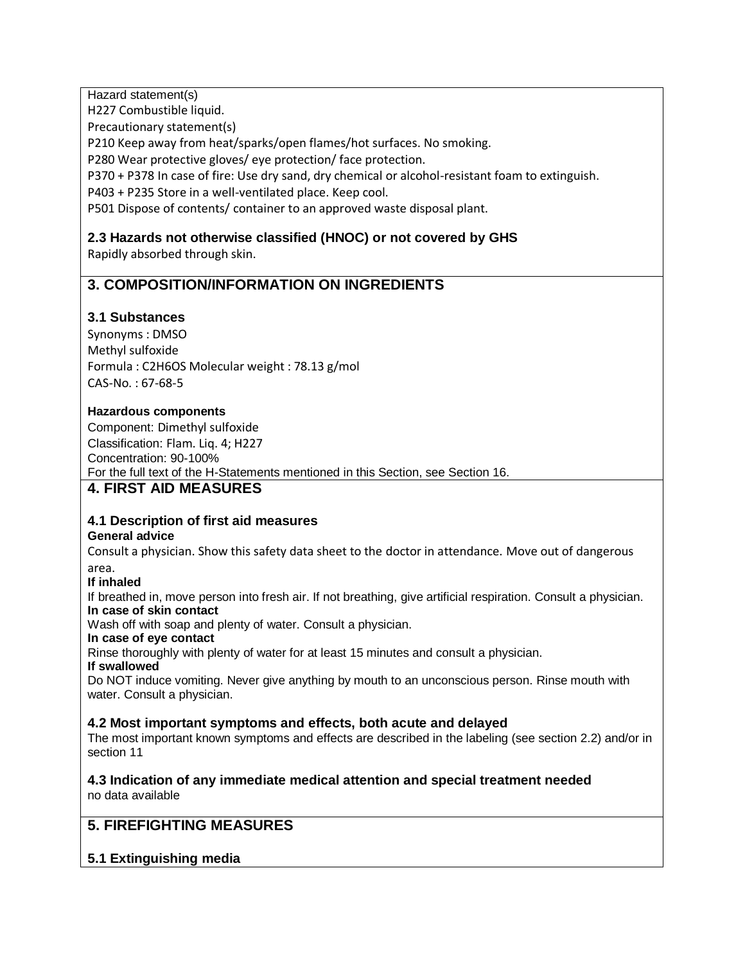Hazard statement(s)

H227 Combustible liquid.

Precautionary statement(s)

P210 Keep away from heat/sparks/open flames/hot surfaces. No smoking.

P280 Wear protective gloves/ eye protection/ face protection.

P370 + P378 In case of fire: Use dry sand, dry chemical or alcohol-resistant foam to extinguish.

P403 + P235 Store in a well-ventilated place. Keep cool.

P501 Dispose of contents/ container to an approved waste disposal plant.

# **2.3 Hazards not otherwise classified (HNOC) or not covered by GHS**

Rapidly absorbed through skin.

# **3. COMPOSITION/INFORMATION ON INGREDIENTS**

## **3.1 Substances**

Synonyms : DMSO Methyl sulfoxide Formula : C2H6OS Molecular weight : 78.13 g/mol CAS-No. : 67-68-5

### **Hazardous components**

Component: Dimethyl sulfoxide Classification: Flam. Liq. 4; H227 Concentration: 90-100% For the full text of the H-Statements mentioned in this Section, see Section 16.

# **4. FIRST AID MEASURES**

### **4.1 Description of first aid measures**

### **General advice**

Consult a physician. Show this safety data sheet to the doctor in attendance. Move out of dangerous area.

#### **If inhaled**

If breathed in, move person into fresh air. If not breathing, give artificial respiration. Consult a physician. **In case of skin contact**

Wash off with soap and plenty of water. Consult a physician.

### **In case of eye contact**

Rinse thoroughly with plenty of water for at least 15 minutes and consult a physician.

#### **If swallowed**

Do NOT induce vomiting. Never give anything by mouth to an unconscious person. Rinse mouth with water. Consult a physician.

### **4.2 Most important symptoms and effects, both acute and delayed**

The most important known symptoms and effects are described in the labeling (see section 2.2) and/or in section 11

#### **4.3 Indication of any immediate medical attention and special treatment needed** no data available

# **5. FIREFIGHTING MEASURES**

## **5.1 Extinguishing media**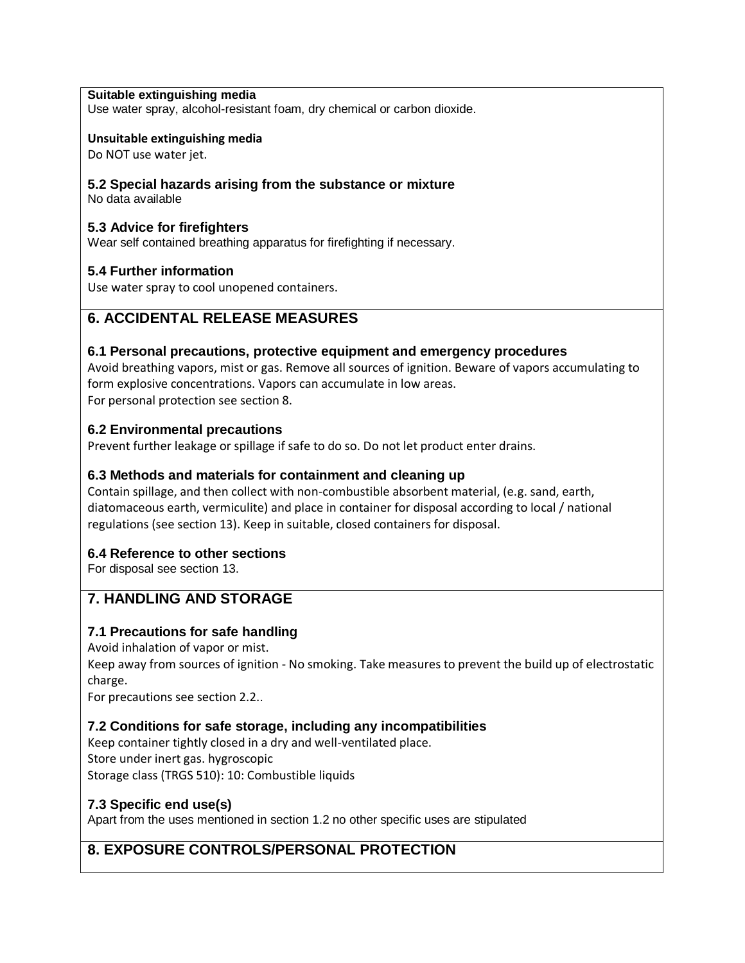#### **Suitable extinguishing media**

Use water spray, alcohol-resistant foam, dry chemical or carbon dioxide.

#### **Unsuitable extinguishing media**

Do NOT use water jet.

## **5.2 Special hazards arising from the substance or mixture**

No data available

#### **5.3 Advice for firefighters**

Wear self contained breathing apparatus for firefighting if necessary.

#### **5.4 Further information**

Use water spray to cool unopened containers.

# **6. ACCIDENTAL RELEASE MEASURES**

#### **6.1 Personal precautions, protective equipment and emergency procedures**

Avoid breathing vapors, mist or gas. Remove all sources of ignition. Beware of vapors accumulating to form explosive concentrations. Vapors can accumulate in low areas. For personal protection see section 8.

#### **6.2 Environmental precautions**

Prevent further leakage or spillage if safe to do so. Do not let product enter drains.

### **6.3 Methods and materials for containment and cleaning up**

Contain spillage, and then collect with non-combustible absorbent material, (e.g. sand, earth, diatomaceous earth, vermiculite) and place in container for disposal according to local / national regulations (see section 13). Keep in suitable, closed containers for disposal.

### **6.4 Reference to other sections**

For disposal see section 13.

## **7. HANDLING AND STORAGE**

### **7.1 Precautions for safe handling**

Avoid inhalation of vapor or mist.

Keep away from sources of ignition - No smoking. Take measures to prevent the build up of electrostatic charge.

For precautions see section 2.2..

### **7.2 Conditions for safe storage, including any incompatibilities**

Keep container tightly closed in a dry and well-ventilated place.

Store under inert gas. hygroscopic

Storage class (TRGS 510): 10: Combustible liquids

#### **7.3 Specific end use(s)**

Apart from the uses mentioned in section 1.2 no other specific uses are stipulated

# **8. EXPOSURE CONTROLS/PERSONAL PROTECTION**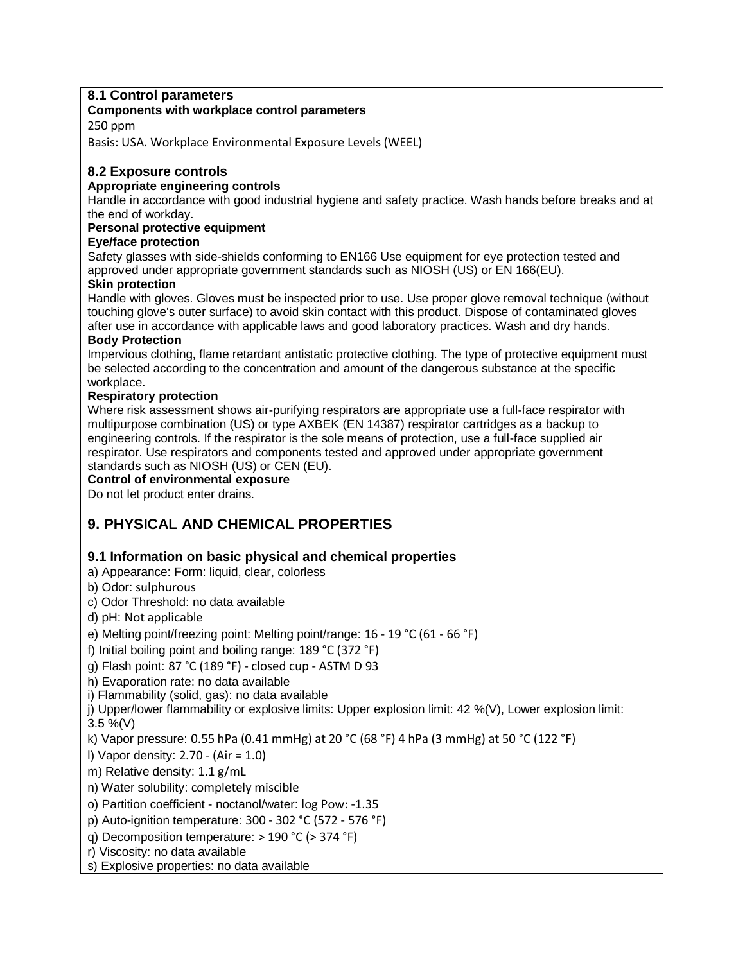## **8.1 Control parameters**

#### **Components with workplace control parameters**

250 ppm

Basis: USA. Workplace Environmental Exposure Levels (WEEL)

## **8.2 Exposure controls**

### **Appropriate engineering controls**

Handle in accordance with good industrial hygiene and safety practice. Wash hands before breaks and at the end of workday.

## **Personal protective equipment**

#### **Eye/face protection**

Safety glasses with side-shields conforming to EN166 Use equipment for eye protection tested and approved under appropriate government standards such as NIOSH (US) or EN 166(EU).

#### **Skin protection**

Handle with gloves. Gloves must be inspected prior to use. Use proper glove removal technique (without touching glove's outer surface) to avoid skin contact with this product. Dispose of contaminated gloves after use in accordance with applicable laws and good laboratory practices. Wash and dry hands.

### **Body Protection**

Impervious clothing, flame retardant antistatic protective clothing. The type of protective equipment must be selected according to the concentration and amount of the dangerous substance at the specific workplace.

#### **Respiratory protection**

Where risk assessment shows air-purifying respirators are appropriate use a full-face respirator with multipurpose combination (US) or type AXBEK (EN 14387) respirator cartridges as a backup to engineering controls. If the respirator is the sole means of protection, use a full-face supplied air respirator. Use respirators and components tested and approved under appropriate government standards such as NIOSH (US) or CEN (EU).

## **Control of environmental exposure**

Do not let product enter drains.

# **9. PHYSICAL AND CHEMICAL PROPERTIES**

## **9.1 Information on basic physical and chemical properties**

- a) Appearance: Form: liquid, clear, colorless
- b) Odor: sulphurous
- c) Odor Threshold: no data available
- d) pH: Not applicable
- e) Melting point/freezing point: Melting point/range: 16 19 °C (61 66 °F)
- f) Initial boiling point and boiling range: 189 °C (372 °F)
- g) Flash point: 87 °C (189 °F) closed cup ASTM D 93
- h) Evaporation rate: no data available
- i) Flammability (solid, gas): no data available
- j) Upper/lower flammability or explosive limits: Upper explosion limit: 42 %(V), Lower explosion limit: 3.5 %(V)

k) Vapor pressure: 0.55 hPa (0.41 mmHg) at 20 °C (68 °F) 4 hPa (3 mmHg) at 50 °C (122 °F)

l) Vapor density: 2.70 - (Air = 1.0)

m) Relative density: 1.1 g/mL

n) Water solubility: completely miscible

o) Partition coefficient - noctanol/water: log Pow: -1.35

- p) Auto-ignition temperature: 300 302 °C (572 576 °F)
- q) Decomposition temperature: > 190 °C (> 374 °F)
- r) Viscosity: no data available
- s) Explosive properties: no data available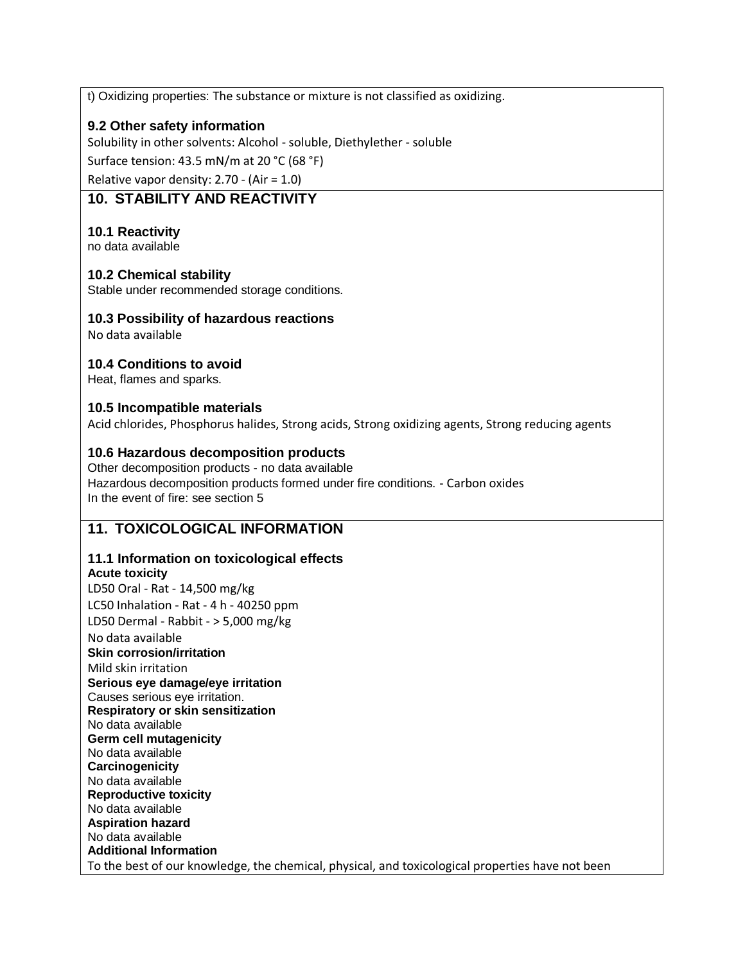t) Oxidizing properties: The substance or mixture is not classified as oxidizing.

## **9.2 Other safety information**

Solubility in other solvents: Alcohol - soluble, Diethylether - soluble

Surface tension: 43.5 mN/m at 20 °C (68 °F)

Relative vapor density: 2.70 - (Air = 1.0)

# **10. STABILITY AND REACTIVITY**

## **10.1 Reactivity**

no data available

### **10.2 Chemical stability**

Stable under recommended storage conditions.

## **10.3 Possibility of hazardous reactions**

No data available

## **10.4 Conditions to avoid**

Heat, flames and sparks.

## **10.5 Incompatible materials**

Acid chlorides, Phosphorus halides, Strong acids, Strong oxidizing agents, Strong reducing agents

### **10.6 Hazardous decomposition products**

Other decomposition products - no data available Hazardous decomposition products formed under fire conditions. - Carbon oxides In the event of fire: see section 5

# **11. TOXICOLOGICAL INFORMATION**

## **11.1 Information on toxicological effects**

**Acute toxicity** LD50 Oral - Rat - 14,500 mg/kg LC50 Inhalation - Rat - 4 h - 40250 ppm LD50 Dermal - Rabbit - > 5,000 mg/kg No data available **Skin corrosion/irritation** Mild skin irritation **Serious eye damage/eye irritation** Causes serious eye irritation. **Respiratory or skin sensitization** No data available **Germ cell mutagenicity** No data available **Carcinogenicity** No data available **Reproductive toxicity** No data available **Aspiration hazard** No data available **Additional Information** To the best of our knowledge, the chemical, physical, and toxicological properties have not been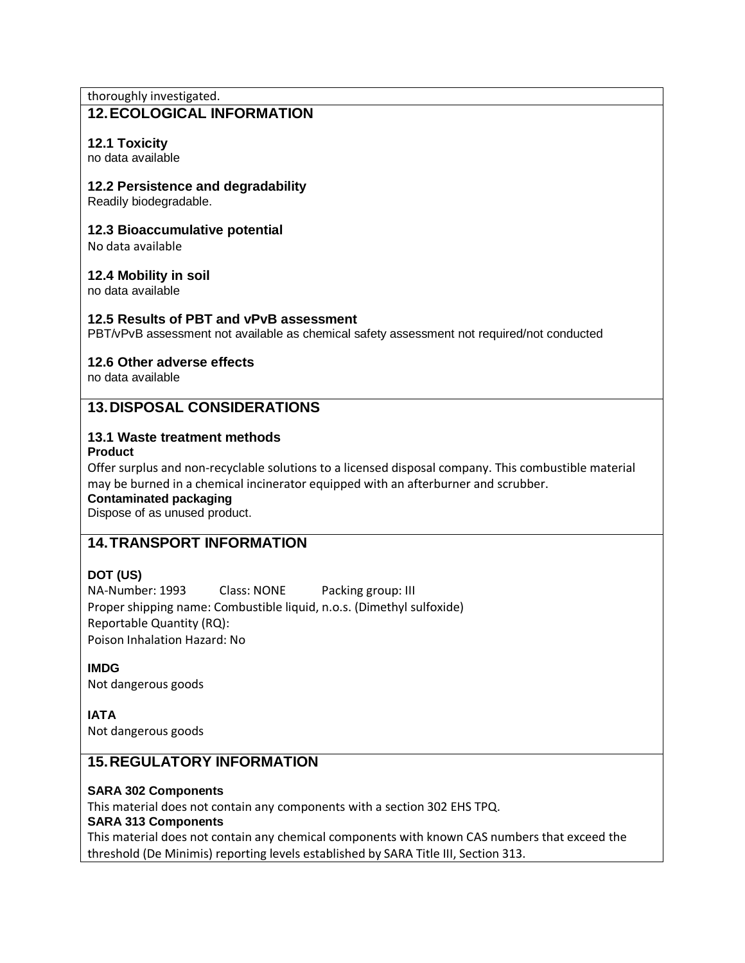thoroughly investigated.

## **12.ECOLOGICAL INFORMATION**

### **12.1 Toxicity**

no data available

#### **12.2 Persistence and degradability**

Readily biodegradable.

#### **12.3 Bioaccumulative potential**

No data available

#### **12.4 Mobility in soil**

no data available

#### **12.5 Results of PBT and vPvB assessment**

PBT/vPvB assessment not available as chemical safety assessment not required/not conducted

#### **12.6 Other adverse effects**

no data available

# **13.DISPOSAL CONSIDERATIONS**

# **13.1 Waste treatment methods**

**Product**

Offer surplus and non-recyclable solutions to a licensed disposal company. This combustible material may be burned in a chemical incinerator equipped with an afterburner and scrubber.

**Contaminated packaging**

Dispose of as unused product.

# **14.TRANSPORT INFORMATION**

### **DOT (US)**

NA-Number: 1993 Class: NONE Packing group: III Proper shipping name: Combustible liquid, n.o.s. (Dimethyl sulfoxide) Reportable Quantity (RQ): Poison Inhalation Hazard: No

**IMDG** Not dangerous goods

**IATA**

Not dangerous goods

## **15.REGULATORY INFORMATION**

#### **SARA 302 Components**

This material does not contain any components with a section 302 EHS TPQ.

#### **SARA 313 Components**

This material does not contain any chemical components with known CAS numbers that exceed the threshold (De Minimis) reporting levels established by SARA Title III, Section 313.